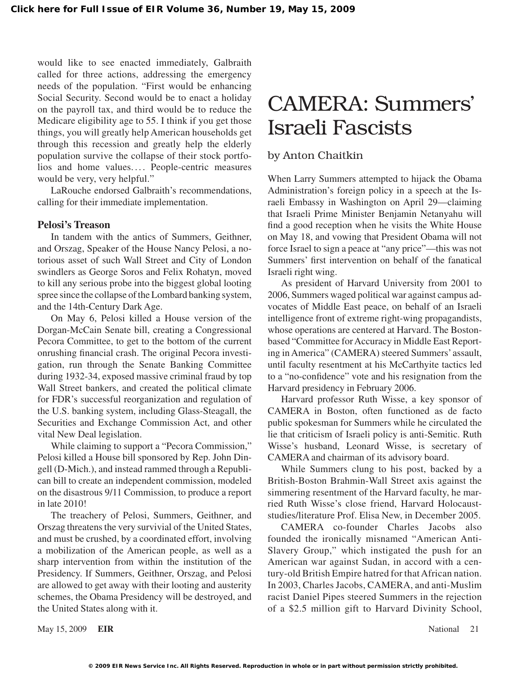would like to see enacted immediately, Galbraith called for three actions, addressing the emergency needs of the population. "First would be enhancing Social Security. Second would be to enact a holiday on the payroll tax, and third would be to reduce the Medicare eligibility age to 55. I think if you get those things, you will greatly help American households get through this recession and greatly help the elderly population survive the collapse of their stock portfolios and home values.... People-centric measures would be very, very helpful."

LaRouche endorsed Galbraith's recommendations, calling for their immediate implementation.

#### **Pelosi's Treason**

In tandem with the antics of Summers, Geithner, and Orszag, Speaker of the House Nancy Pelosi, a notorious asset of such Wall Street and City of London swindlers as George Soros and Felix Rohatyn, moved to kill any serious probe into the biggest global looting spree since the collapse of the Lombard banking system, and the 14th-Century Dark Age.

On May 6, Pelosi killed a House version of the Dorgan-McCain Senate bill, creating a Congressional Pecora Committee, to get to the bottom of the current onrushing financial crash. The original Pecora investigation, run through the Senate Banking Committee during 1932-34, exposed massive criminal fraud by top Wall Street bankers, and created the political climate for FDR's successful reorganization and regulation of the U.S. banking system, including Glass-Steagall, the Securities and Exchange Commission Act, and other vital New Deal legislation.

While claiming to support a "Pecora Commission," Pelosi killed a House bill sponsored by Rep. John Dingell (D-Mich.), and instead rammed through a Republican bill to create an independent commission, modeled on the disastrous 9/11 Commission, to produce a report in late 2010!

The treachery of Pelosi, Summers, Geithner, and Orszag threatens the very survivial of the United States, and must be crushed, by a coordinated effort, involving a mobilization of the American people, as well as a sharp intervention from within the institution of the Presidency. If Summers, Geithner, Orszag, and Pelosi are allowed to get away with their looting and austerity schemes, the Obama Presidency will be destroyed, and the United States along with it.

# CAMERA: Summers' Israeli Fascists

#### by Anton Chaitkin

When Larry Summers attempted to hijack the Obama Administration's foreign policy in a speech at the Israeli Embassy in Washington on April 29—claiming that Israeli Prime Minister Benjamin Netanyahu will find a good reception when he visits the White House on May 18, and vowing that President Obama will not force Israel to sign a peace at "any price"—this was not Summers' first intervention on behalf of the fanatical Israeli right wing.

As president of Harvard University from 2001 to 2006, Summers waged political war against campus advocates of Middle East peace, on behalf of an Israeli intelligence front of extreme right-wing propagandists, whose operations are centered at Harvard. The Bostonbased "Committee for Accuracy in Middle East Reporting in America" (CAMERA) steered Summers' assault, until faculty resentment at his McCarthyite tactics led to a "no-confidence" vote and his resignation from the Harvard presidency in February 2006.

Harvard professor Ruth Wisse, a key sponsor of CAMERA in Boston, often functioned as de facto public spokesman for Summers while he circulated the lie that criticism of Israeli policy is anti-Semitic. Ruth Wisse's husband, Leonard Wisse, is secretary of CAMERA and chairman of its advisory board.

While Summers clung to his post, backed by a British-Boston Brahmin-Wall Street axis against the simmering resentment of the Harvard faculty, he married Ruth Wisse's close friend, Harvard Holocauststudies/literature Prof. Elisa New, in December 2005.

CAMERA co-founder Charles Jacobs also founded the ironically misnamed "American Anti-Slavery Group," which instigated the push for an American war against Sudan, in accord with a century-old British Empire hatred for that African nation. In 2003, Charles Jacobs, CAMERA, and anti-Muslim racist Daniel Pipes steered Summers in the rejection of a \$2.5 million gift to Harvard Divinity School,

May 15, 2009 **EIR** National 21